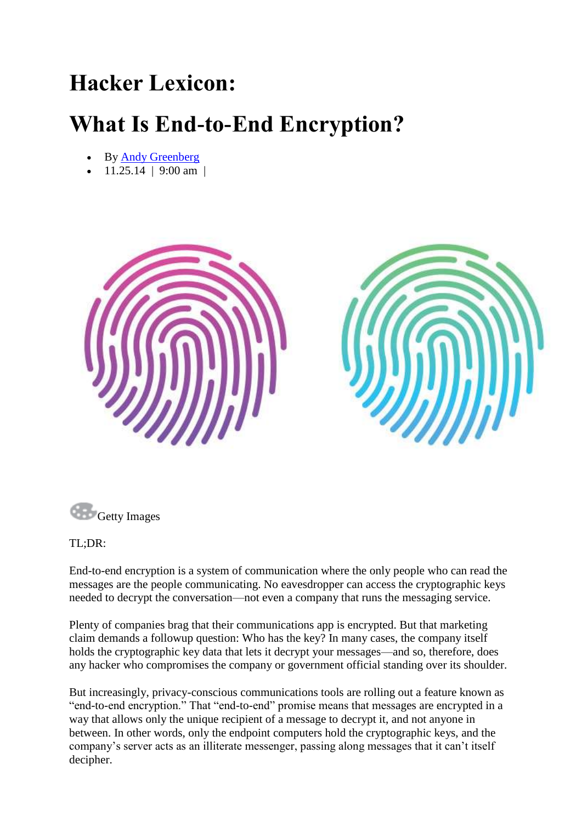## **Hacker Lexicon:**

## **What Is End-to-End Encryption?**

- By [Andy Greenberg](http://www.wired.com/author/andygreenberg/)
- 11.25.14 | 9:00 am |





## TL;DR:

End-to-end encryption is a system of communication where the only people who can read the messages are the people communicating. No eavesdropper can access the cryptographic keys needed to decrypt the conversation—not even a company that runs the messaging service.

Plenty of companies brag that their communications app is encrypted. But that marketing claim demands a followup question: Who has the key? In many cases, the company itself holds the cryptographic key data that lets it decrypt your messages—and so, therefore, does any hacker who compromises the company or government official standing over its shoulder.

But increasingly, privacy-conscious communications tools are rolling out a feature known as "end-to-end encryption." That "end-to-end" promise means that messages are encrypted in a way that allows only the unique recipient of a message to decrypt it, and not anyone in between. In other words, only the endpoint computers hold the cryptographic keys, and the company's server acts as an illiterate messenger, passing along messages that it can't itself decipher.